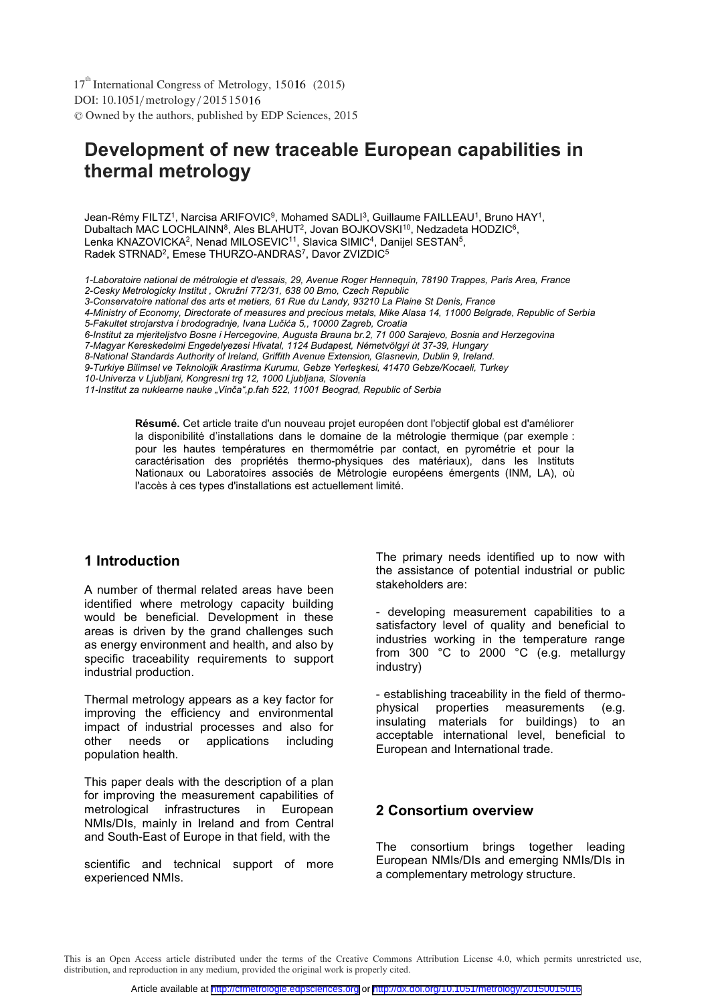DOI: 10.1051/metrology/201515016 -<sup>C</sup> Owned by the authors, published by EDP Sciences, 2015 17<sup>th</sup> International Congress of Metrology, 15016 (2015)

# **Development of new traceable European capabilities in thermal metrology**

Jean-Rémy FILTZ<sup>1</sup>, Narcisa ARIFOVIC<sup>9</sup>, Mohamed SADLI<sup>3</sup>, Guillaume FAILLEAU<sup>1</sup>, Bruno HAY<sup>1</sup>, Dubaltach MAC LOCHLAINN<sup>8</sup>, Ales BLAHUT<sup>2</sup>, Jovan BOJKOVSKI<sup>10</sup>, Nedzadeta HODZIC<sup>6</sup>, Lenka KNAZOVICKA<sup>2</sup>, Nenad MILOSEVIC<sup>11</sup>, Slavica SIMIC<sup>4</sup>, Danijel SESTAN<sup>5</sup>, Radek STRNAD<sup>2</sup>, Emese THURZO-ANDRAS<sup>7</sup>, Davor ZVIZDIC<sup>5</sup>

*1-Laboratoire national de métrologie et d'essais, 29, Avenue Roger Hennequin, 78190 Trappes, Paris Area, France 2-Cesky Metrologicky Institut , Okružní 772/31, 638 00 Brno, Czech Republic*

*3-Conservatoire national des arts et metiers, 61 Rue du Landy, 93210 La Plaine St Denis, France* 

*4-Ministry of Economy, Directorate of measures and precious metals, Mike Alasa 14, 11000 Belgrade, Republic of Serbia 5-Fakultet strojarstva i brodogradnje, Ivana Lučića 5,, 10000 Zagreb, Croatia* 

- *6-Institut za mjeriteljstvo Bosne i Hercegovine, Augusta Brauna br.2, 71 000 Sarajevo, Bosnia and Herzegovina*
- *7-Magyar Kereskedelmi Engedelyezesi Hivatal, 1124 Budapest, Németvölgyi út 37-39, Hungary*

*8-National Standards Authority of Ireland, Griffith Avenue Extension, Glasnevin, Dublin 9, Ireland.* 

*9-Turkiye Bilimsel ve Teknolojik Arastirma Kurumu, Gebze Yerleşkesi, 41470 Gebze/Kocaeli, Turkey*

*10-Univerza v Ljubljani, Kongresni trg 12, 1000 Ljubljana, Slovenia* 

*11-Institut za nuklearne nauke "Vinča",p.fah 522, 11001 Beograd, Republic of Serbia*

**Résumé.** Cet article traite d'un nouveau projet européen dont l'objectif global est d'améliorer la disponibilité d'installations dans le domaine de la métrologie thermique (par exemple : pour les hautes températures en thermométrie par contact, en pyrométrie et pour la caractérisation des propriétés thermo-physiques des matériaux), dans les Instituts Nationaux ou Laboratoires associés de Métrologie européens émergents (INM, LA), où l'accès à ces types d'installations est actuellement limité.

### **1 Introduction**

A number of thermal related areas have been identified where metrology capacity building would be beneficial. Development in these areas is driven by the grand challenges such as energy environment and health, and also by specific traceability requirements to support industrial production.

Thermal metrology appears as a key factor for improving the efficiency and environmental impact of industrial processes and also for<br>other needs or applications including applications including population health.

This paper deals with the description of a plan for improving the measurement capabilities of metrological infrastructures in European NMIs/DIs, mainly in Ireland and from Central and South-East of Europe in that field, with the

scientific and technical support of more experienced NMIs.

The primary needs identified up to now with the assistance of potential industrial or public stakeholders are:

- developing measurement capabilities to a satisfactory level of quality and beneficial to industries working in the temperature range from 300 °C to 2000 °C (e.g. metallurgy industry)

- establishing traceability in the field of thermophysical properties measurements (e.g. insulating materials for buildings) to an acceptable international level, beneficial to European and International trade.

### **2 Consortium overview**

The consortium brings together leading European NMIs/DIs and emerging NMIs/DIs in a complementary metrology structure.

This is an Open Access article distributed under the terms of the Creative Commons Attribution License 4.0, which permits unrestricted use, distribution, and reproduction in any medium, provided the original work is properly cited.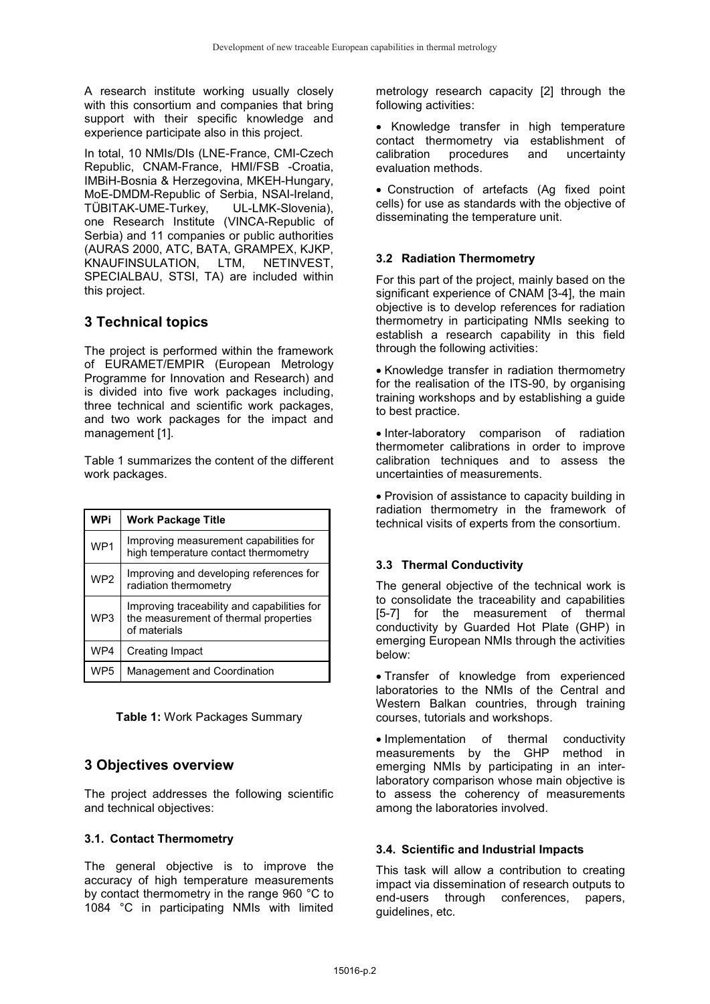A research institute working usually closely with this consortium and companies that bring support with their specific knowledge and experience participate also in this project.

In total, 10 NMIs/DIs (LNE-France, CMI-Czech Republic, CNAM-France, HMI/FSB -Croatia, IMBiH-Bosnia & Herzegovina, MKEH-Hungary, MoE-DMDM-Republic of Serbia, NSAI-Ireland, TÜBITAK-UME-Turkey, UL-LMK-Slovenia), one Research Institute (VINCA-Republic of Serbia) and 11 companies or public authorities (AURAS 2000, ATC, BATA, GRAMPEX, KJKP, KNAUFINSULATION, LTM, NETINVEST, SPECIALBAU, STSI, TA) are included within this project.

# **3 Technical topics**

The project is performed within the framework of EURAMET/EMPIR (European Metrology Programme for Innovation and Research) and is divided into five work packages including, three technical and scientific work packages, and two work packages for the impact and management [1].

Table 1 summarizes the content of the different work packages.

| <b>WPi</b>      | <b>Work Package Title</b>                                                                            |
|-----------------|------------------------------------------------------------------------------------------------------|
| WP1             | Improving measurement capabilities for<br>high temperature contact thermometry                       |
| WP <sub>2</sub> | Improving and developing references for<br>radiation thermometry                                     |
| WP3             | Improving traceability and capabilities for<br>the measurement of thermal properties<br>of materials |
| WP4             | Creating Impact                                                                                      |
| WP <sub>5</sub> | Management and Coordination                                                                          |

**Table 1:** Work Packages Summary

# **3 Objectives overview**

The project addresses the following scientific and technical objectives:

### **3.1. Contact Thermometry**

The general objective is to improve the accuracy of high temperature measurements by contact thermometry in the range 960 °C to 1084 °C in participating NMIs with limited

metrology research capacity [2] through the following activities:

• Knowledge transfer in high temperature contact thermometry via establishment of calibration procedures and uncertainty evaluation methods.

--Construction of artefacts (Ag fixed point cells) for use as standards with the objective of disseminating the temperature unit.

### **3.2 Radiation Thermometry**

For this part of the project, mainly based on the significant experience of CNAM [3-4], the main objective is to develop references for radiation thermometry in participating NMIs seeking to establish a research capability in this field through the following activities:

-Knowledge transfer in radiation thermometry for the realisation of the ITS-90, by organising training workshops and by establishing a guide to best practice.

-Inter-laboratory comparison of radiation thermometer calibrations in order to improve calibration techniques and to assess the uncertainties of measurements.

-Provision of assistance to capacity building in radiation thermometry in the framework of technical visits of experts from the consortium.

### **3.3 Thermal Conductivity**

The general objective of the technical work is to consolidate the traceability and capabilities [5-7] for the measurement of thermal conductivity by Guarded Hot Plate (GHP) in emerging European NMIs through the activities below:

-Transfer of knowledge from experienced laboratories to the NMIs of the Central and Western Balkan countries, through training courses, tutorials and workshops.

-Implementation of thermal conductivity measurements by the GHP method in emerging NMIs by participating in an interlaboratory comparison whose main objective is to assess the coherency of measurements among the laboratories involved.

### **3.4. Scientific and Industrial Impacts**

This task will allow a contribution to creating impact via dissemination of research outputs to end-users through conferences, papers, guidelines, etc.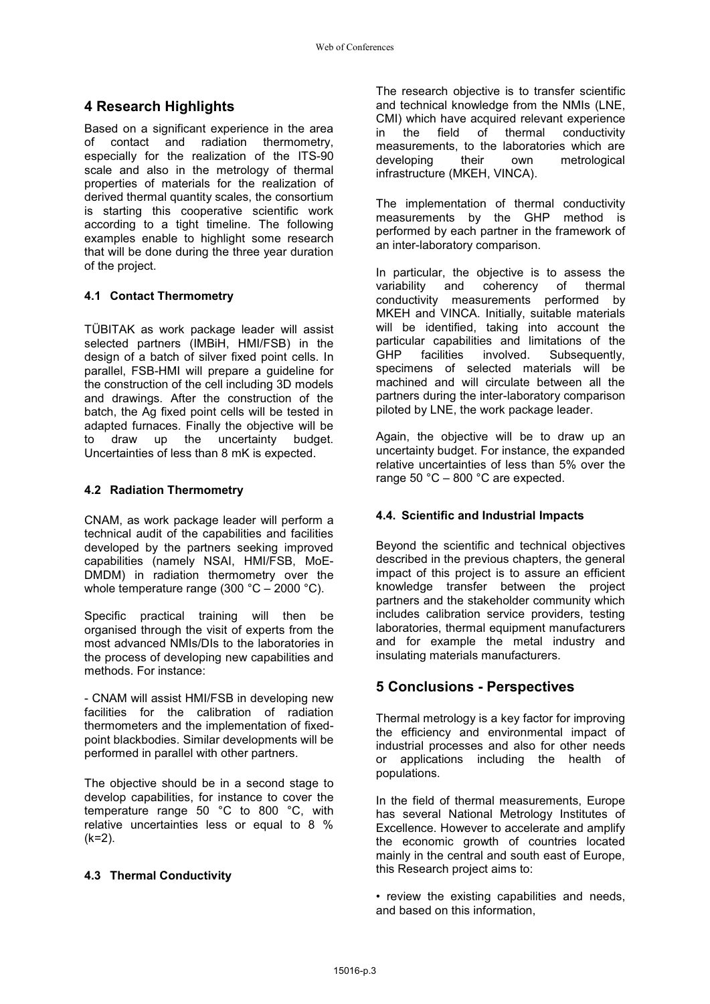# **4 Research Highlights**

Based on a significant experience in the area of contact and radiation thermometry, especially for the realization of the ITS-90 scale and also in the metrology of thermal properties of materials for the realization of derived thermal quantity scales, the consortium is starting this cooperative scientific work according to a tight timeline. The following examples enable to highlight some research that will be done during the three year duration of the project.

### **4.1 Contact Thermometry**

TÜBITAK as work package leader will assist selected partners (IMBiH, HMI/FSB) in the design of a batch of silver fixed point cells. In parallel, FSB-HMI will prepare a guideline for the construction of the cell including 3D models and drawings. After the construction of the batch, the Ag fixed point cells will be tested in adapted furnaces. Finally the objective will be to draw up the uncertainty budget. Uncertainties of less than 8 mK is expected.

### **4.2 Radiation Thermometry**

CNAM, as work package leader will perform a technical audit of the capabilities and facilities developed by the partners seeking improved capabilities (namely NSAI, HMI/FSB, MoE-DMDM) in radiation thermometry over the whole temperature range (300 °C – 2000 °C).

Specific practical training will then be organised through the visit of experts from the most advanced NMIs/DIs to the laboratories in the process of developing new capabilities and methods. For instance:

- CNAM will assist HMI/FSB in developing new facilities for the calibration of radiation thermometers and the implementation of fixedpoint blackbodies. Similar developments will be performed in parallel with other partners.

The objective should be in a second stage to develop capabilities, for instance to cover the temperature range 50 °C to 800 °C, with relative uncertainties less or equal to 8 %  $(k=2)$ .

### **4.3 Thermal Conductivity**

The research objective is to transfer scientific and technical knowledge from the NMIs (LNE, CMI) which have acquired relevant experience in the field of thermal measurements, to the laboratories which are developing their own metrological infrastructure (MKEH, VINCA).

The implementation of thermal conductivity measurements by the GHP method is performed by each partner in the framework of an inter-laboratory comparison.

In particular, the objective is to assess the variability and coherency of thermal conductivity measurements performed by MKEH and VINCA. Initially, suitable materials will be identified, taking into account the particular capabilities and limitations of the GHP facilities involved. Subsequently, specimens of selected materials will be machined and will circulate between all the partners during the inter-laboratory comparison piloted by LNE, the work package leader.

Again, the objective will be to draw up an uncertainty budget. For instance, the expanded relative uncertainties of less than 5% over the range 50 °C – 800 °C are expected.

### **4.4. Scientific and Industrial Impacts**

Beyond the scientific and technical objectives described in the previous chapters, the general impact of this project is to assure an efficient knowledge transfer between the project partners and the stakeholder community which includes calibration service providers, testing laboratories, thermal equipment manufacturers and for example the metal industry and insulating materials manufacturers.

# **5 Conclusions - Perspectives**

Thermal metrology is a key factor for improving the efficiency and environmental impact of industrial processes and also for other needs or applications including the health of populations.

In the field of thermal measurements, Europe has several National Metrology Institutes of Excellence. However to accelerate and amplify the economic growth of countries located mainly in the central and south east of Europe, this Research project aims to:

• review the existing capabilities and needs, and based on this information,